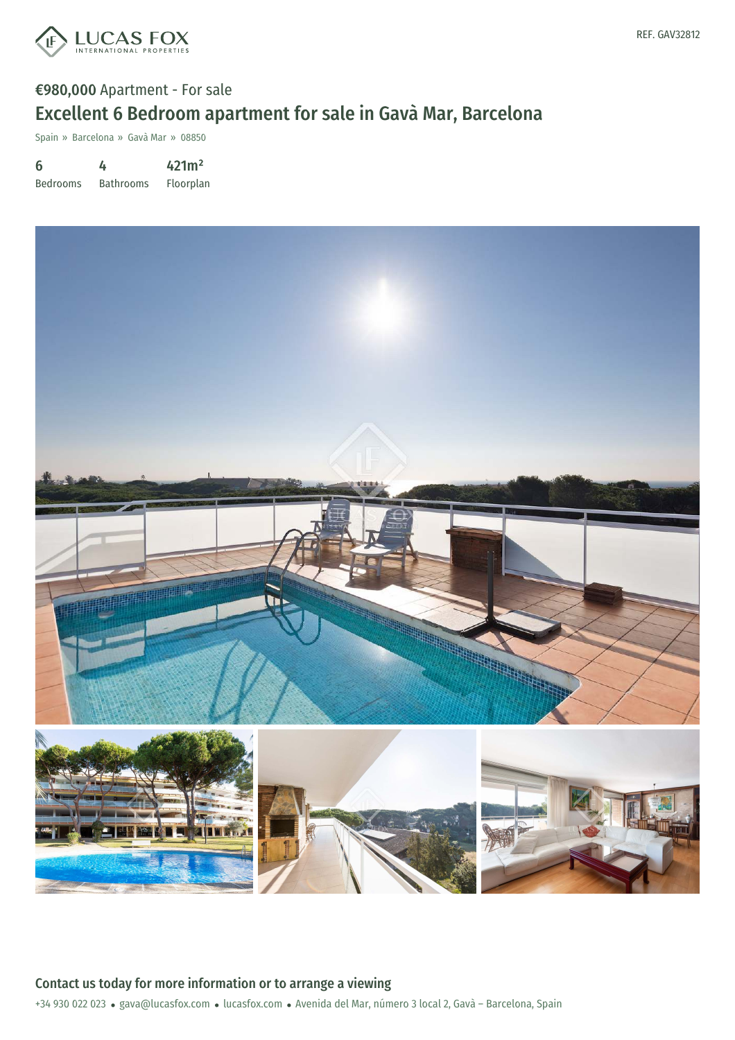

## €980,000 Apartment - For sale Excellent 6 Bedroom apartment for sale in Gavà Mar, Barcelona

Spain » Barcelona » Gavà Mar » 08850

6 Bedrooms 4 Bathrooms 421m² Floorplan



+34 930 022 023 · gava@lucasfox.com · lucasfox.com · Avenida del Mar, número 3 local 2, Gavà - Barcelona, Spain Contact us today for more information or to arrange a viewing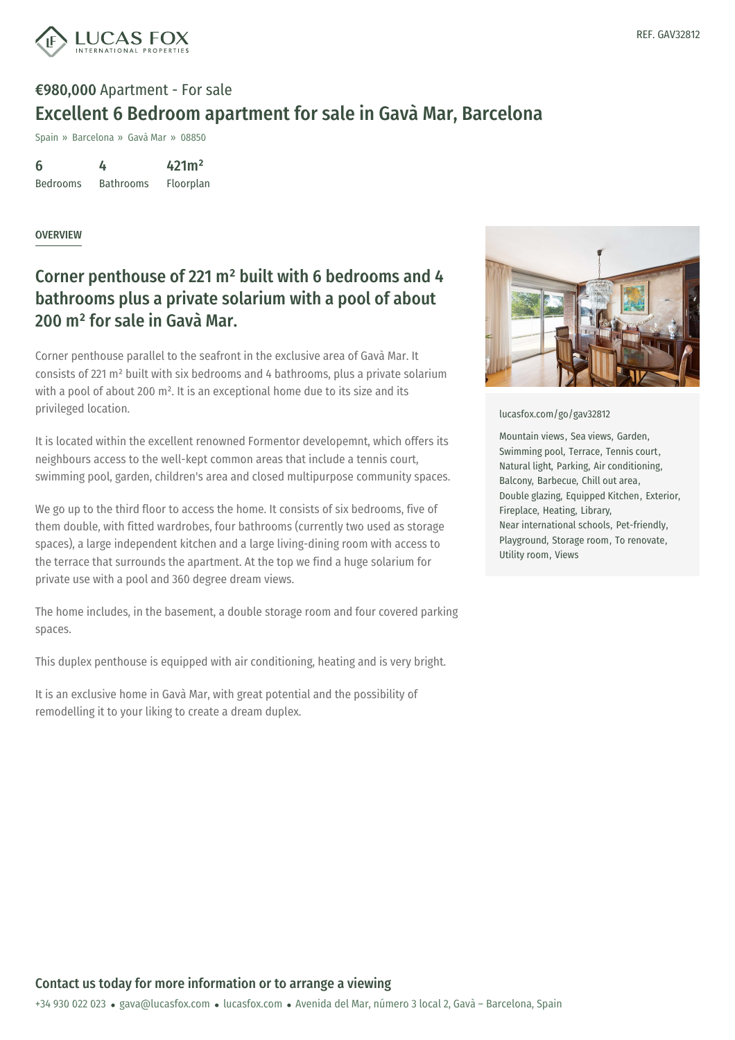

# €980,000 Apartment - For sale Excellent 6 Bedroom apartment for sale in Gavà Mar, Barcelona

Spain » Barcelona » Gavà Mar » 08850

6 Bedrooms 4 Bathrooms 421m² Floorplan

#### OVERVIEW

## Corner penthouse of 221 m² built with 6 bedrooms and 4 bathrooms plus a private solarium with a pool of about 200 m² for sale in Gavà Mar.

Corner penthouse parallel to the seafront in the exclusive area of Gavà Mar. It consists of 221 m² built with six bedrooms and 4 bathrooms, plus a private solarium with a pool of about 200 m<sup>2</sup>. It is an exceptional home due to its size and its privileged location.

It is located within the excellent renowned Formentor developemnt, which offers its neighbours access to the well-kept common areas that include a tennis court, swimming pool, garden, children's area and closed multipurpose community spaces.

We go up to the third floor to access the home. It consists of six bedrooms, five of them double, with fitted wardrobes, four bathrooms (currently two used as storage spaces), a large independent kitchen and a large living-dining room with access to the terrace that surrounds the apartment. At the top we find a huge solarium for private use with a pool and 360 degree dream views.

The home includes, in the basement, a double storage room and four covered parking spaces.

This duplex penthouse is equipped with air conditioning, heating and is very bright.

It is an exclusive home in Gavà Mar, with great potential and the possibility of remodelling it to your liking to create a dream duplex.



[lucasfox.com/go/gav32812](https://www.lucasfox.com/go/gav32812)

Mountain views, Sea views, Garden, Swimming pool, Terrace, Tennis court, Natural light, Parking, Air conditioning, Balcony, Barbecue, Chill out area, Double glazing, Equipped Kitchen, Exterior, Fireplace, Heating, Library, Near international schools, Pet-friendly, Playground, Storage room, To renovate, Utility room, Views